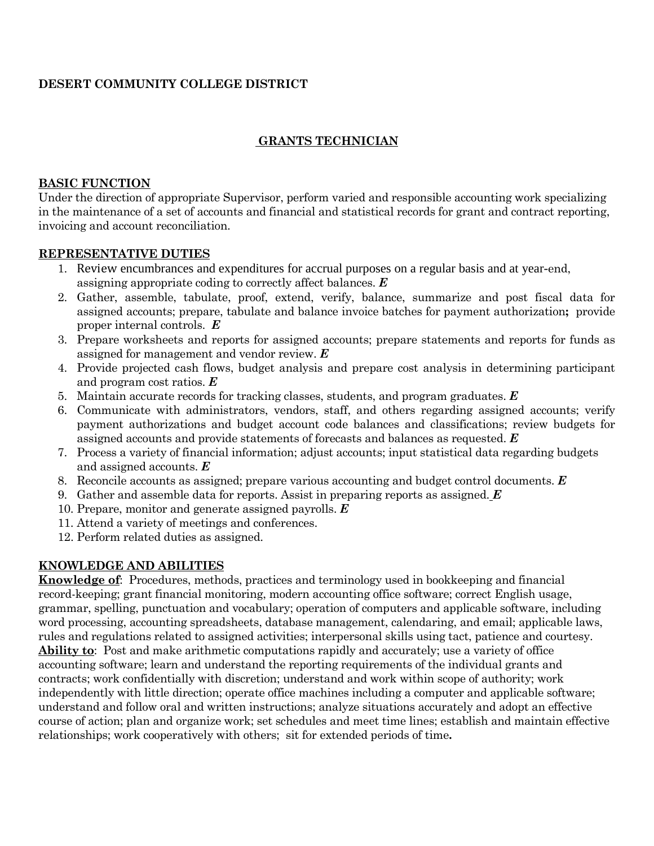### **DESERT COMMUNITY COLLEGE DISTRICT**

## **GRANTS TECHNICIAN**

#### **BASIC FUNCTION**

Under the direction of appropriate Supervisor, perform varied and responsible accounting work specializing in the maintenance of a set of accounts and financial and statistical records for grant and contract reporting, invoicing and account reconciliation.

#### **REPRESENTATIVE DUTIES**

- 1. Review encumbrances and expenditures for accrual purposes on a regular basis and at year-end, assigning appropriate coding to correctly affect balances. *E*
- 2. Gather, assemble, tabulate, proof, extend, verify, balance, summarize and post fiscal data for assigned accounts; prepare, tabulate and balance invoice batches for payment authorization**;** provide proper internal controls. *E*
- 3. Prepare worksheets and reports for assigned accounts; prepare statements and reports for funds as assigned for management and vendor review. *E*
- 4. Provide projected cash flows, budget analysis and prepare cost analysis in determining participant and program cost ratios. *E*
- 5. Maintain accurate records for tracking classes, students, and program graduates. *E*
- 6. Communicate with administrators, vendors, staff, and others regarding assigned accounts; verify payment authorizations and budget account code balances and classifications; review budgets for assigned accounts and provide statements of forecasts and balances as requested. *E*
- 7. Process a variety of financial information; adjust accounts; input statistical data regarding budgets and assigned accounts. *E*
- 8. Reconcile accounts as assigned; prepare various accounting and budget control documents. *E*
- 9. Gather and assemble data for reports. Assist in preparing reports as assigned. *E*
- 10. Prepare, monitor and generate assigned payrolls. *E*
- 11. Attend a variety of meetings and conferences.
- 12. Perform related duties as assigned.

### **KNOWLEDGE AND ABILITIES**

**Knowledge of**: Procedures, methods, practices and terminology used in bookkeeping and financial record-keeping; grant financial monitoring, modern accounting office software; correct English usage, grammar, spelling, punctuation and vocabulary; operation of computers and applicable software, including word processing, accounting spreadsheets, database management, calendaring, and email; applicable laws, rules and regulations related to assigned activities; interpersonal skills using tact, patience and courtesy. **Ability to**: Post and make arithmetic computations rapidly and accurately; use a variety of office accounting software; learn and understand the reporting requirements of the individual grants and contracts; work confidentially with discretion; understand and work within scope of authority; work independently with little direction; operate office machines including a computer and applicable software; understand and follow oral and written instructions; analyze situations accurately and adopt an effective course of action; plan and organize work; set schedules and meet time lines; establish and maintain effective relationships; work cooperatively with others; sit for extended periods of time**.**